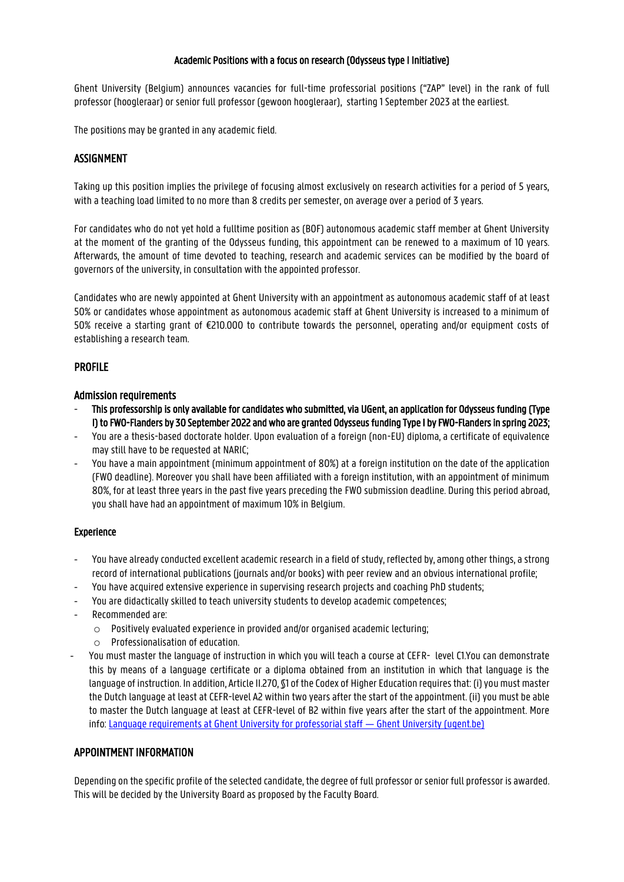### Academic Positions with a focus on research (Odysseus type I Initiative)

Ghent University (Belgium) announces vacancies for full-time professorial positions ("ZAP" level) in the rank of full professor (hoogleraar) or senior full professor (gewoon hoogleraar), starting 1 September 2023 at the earliest.

The positions may be granted in any academic field.

# ASSIGNMENT

Taking up this position implies the privilege of focusing almost exclusively on research activities for a period of 5 years, with a teaching load limited to no more than 8 credits per semester, on average over a period of 3 years.

For candidates who do not yet hold a fulltime position as (BOF) autonomous academic staff member at Ghent University at the moment of the granting of the Odysseus funding, this appointment can be renewed to a maximum of 10 years. Afterwards, the amount of time devoted to teaching, research and academic services can be modified by the board of governors of the university, in consultation with the appointed professor.

Candidates who are newly appointed at Ghent University with an appointment as autonomous academic staff of at least 50% or candidates whose appointment as autonomous academic staff at Ghent University is increased to a minimum of 50% receive a starting grant of €210.000 to contribute towards the personnel, operating and/or equipment costs of establishing a research team.

# PROFILE

#### Admission requirements

- This professorship is only available for candidates who submitted, via UGent, an application for Odysseus funding (Type I) to FWO-Flanders by 30 September 2022 and who are granted Odysseus funding Type I by FWO-Flanders in spring 2023;
- You are a thesis-based doctorate holder. Upon evaluation of a foreign (non-EU) diploma, a certificate of equivalence may still have to be requested at NARIC;
- You have a main appointment (minimum appointment of 80%) at a foreign institution on the date of the application (FWO deadline). Moreover you shall have been affiliated with a foreign institution, with an appointment of minimum 80%, for at least three years in the past five years preceding the FWO submission deadline. During this period abroad, you shall have had an appointment of maximum 10% in Belgium.

#### Experience

- You have already conducted excellent academic research in a field of study, reflected by, among other things, a strong record of international publications (journals and/or books) with peer review and an obvious international profile;
- You have acquired extensive experience in supervising research projects and coaching PhD students;
- You are didactically skilled to teach university students to develop academic competences;
- Recommended are:
	- $\circ$  Positively evaluated experience in provided and/or organised academic lecturing;
	- o Professionalisation of education.
- You must master the language of instruction in which you will teach a course at CEFR- level C1.You can demonstrate this by means of a language certificate or a diploma obtained from an institution in which that language is the language of instruction. In addition, Article II.270, §1 of the Codex of Higher Education requires that: (i) you must master the Dutch language at least at CEFR-level A2 within two years after the start of the appointment. (ii) you must be able to master the Dutch language at least at CEFR-level of B2 within five years after the start of the appointment. More info: [Language requirements at Ghent University for professorial staff](https://www.ugent.be/en/work/talent/languagerequirements.htm) — Ghent University (ugent.be)

# APPOINTMENT INFORMATION

Depending on the specific profile of the selected candidate, the degree of full professor or senior full professor is awarded. This will be decided by the University Board as proposed by the Faculty Board.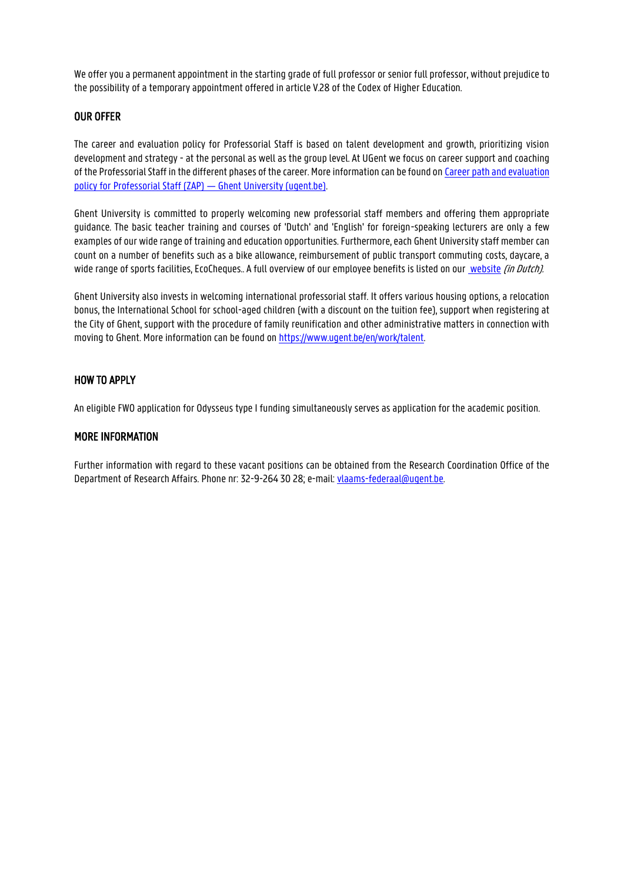We offer you a permanent appointment in the starting grade of full professor or senior full professor, without prejudice to the possibility of a temporary appointment offered in article V.28 of the Codex of Higher Education.

### OUR OFFER

The career and evaluation policy for Professorial Staff is based on talent development and growth, prioritizing vision development and strategy - at the personal as well as the group level. At UGent we focus on career support and coaching of the Professorial Staff in the different phases of the career. More information can be found on Career path and evaluation [policy for Professorial Staff \(ZAP\)](https://www.ugent.be/en/work/mobility-career/career-aspects/professorial-staff) — Ghent University (ugent.be).

Ghent University is committed to properly welcoming new professorial staff members and offering them appropriate guidance. The basic teacher training and courses of 'Dutch' and 'English' for foreign-speaking lecturers are only a few examples of our wide range of training and education opportunities. Furthermore, each Ghent University staff member can count on a number of benefits such as a bike allowance, reimbursement of public transport commuting costs, daycare, a wide range of sports facilities, EcoCheques.. A full overview of our employee benefits is listed on ou[r website](http://www.ugent.be/nl/vacatures/personeelsvoordelen.htm) (in Dutch).

Ghent University also invests in welcoming international professorial staff. It offers various housing options, a relocation bonus, the International School for school-aged children (with a discount on the tuition fee), support when registering at the City of Ghent, support with the procedure of family reunification and other administrative matters in connection with moving to Ghent. More information can be found on [https://www.ugent.be/en/work/talent.](https://www.ugent.be/en/work/talent)

## HOW TO APPLY

An eligible FWO application for Odysseus type I funding simultaneously serves as application for the academic position.

## MORE INFORMATION

Further information with regard to these vacant positions can be obtained from the Research Coordination Office of the Department of Research Affairs. Phone nr: 32-9-264 30 28; e-mail: vlaams-federaal@ugent.be.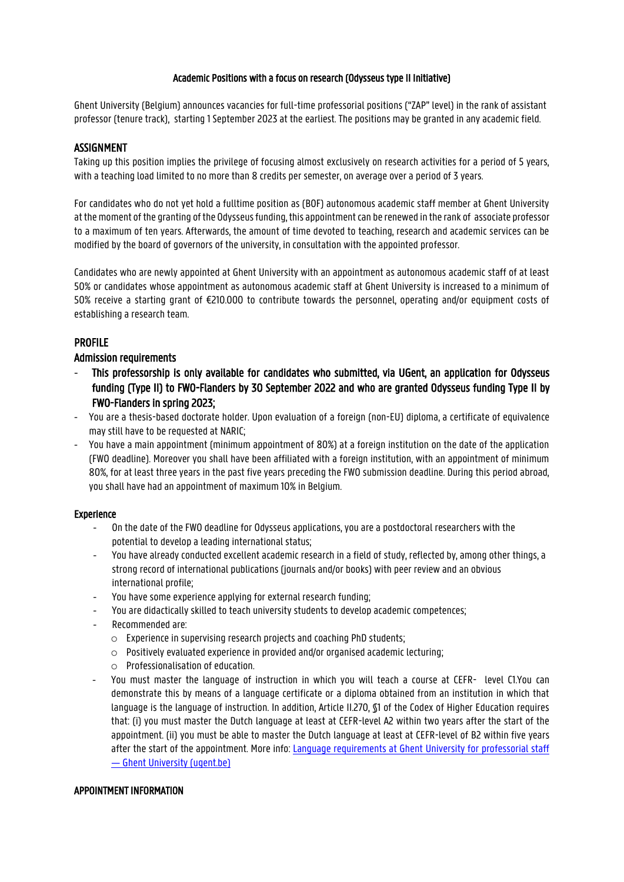#### Academic Positions with a focus on research (Odysseus type II Initiative)

Ghent University (Belgium) announces vacancies for full-time professorial positions ("ZAP" level) in the rank of assistant professor (tenure track), starting 1 September 2023 at the earliest. The positions may be granted in any academic field.

### ASSIGNMENT

Taking up this position implies the privilege of focusing almost exclusively on research activities for a period of 5 years, with a teaching load limited to no more than 8 credits per semester, on average over a period of 3 years.

For candidates who do not yet hold a fulltime position as (BOF) autonomous academic staff member at Ghent University at the moment of the granting of the Odysseus funding, this appointment can be renewed in the rank of associate professor to a maximum of ten years. Afterwards, the amount of time devoted to teaching, research and academic services can be modified by the board of governors of the university, in consultation with the appointed professor.

Candidates who are newly appointed at Ghent University with an appointment as autonomous academic staff of at least 50% or candidates whose appointment as autonomous academic staff at Ghent University is increased to a minimum of 50% receive a starting grant of €210.000 to contribute towards the personnel, operating and/or equipment costs of establishing a research team.

## PROFILE

#### Admission requirements

- This professorship is only available for candidates who submitted, via UGent, an application for Odysseus funding (Type II) to FWO-Flanders by 30 September 2022 and who are granted Odysseus funding Type II by FWO-Flanders in spring 2023;
- You are a thesis-based doctorate holder. Upon evaluation of a foreign (non-EU) diploma, a certificate of equivalence may still have to be requested at NARIC;
- You have a main appointment (minimum appointment of 80%) at a foreign institution on the date of the application (FWO deadline). Moreover you shall have been affiliated with a foreign institution, with an appointment of minimum 80%, for at least three years in the past five years preceding the FWO submission deadline. During this period abroad, you shall have had an appointment of maximum 10% in Belgium.

#### Experience

- On the date of the FWO deadline for Odysseus applications, you are a postdoctoral researchers with the potential to develop a leading international status;
- You have already conducted excellent academic research in a field of study, reflected by, among other things, a strong record of international publications (journals and/or books) with peer review and an obvious international profile;
- You have some experience applying for external research funding;
- You are didactically skilled to teach university students to develop academic competences;
- Recommended are:
	- o Experience in supervising research projects and coaching PhD students;
	- o Positively evaluated experience in provided and/or organised academic lecturing;
	- o Professionalisation of education.
- You must master the language of instruction in which you will teach a course at CEFR- level C1.You can demonstrate this by means of a language certificate or a diploma obtained from an institution in which that language is the language of instruction. In addition, Article II.270, §1 of the Codex of Higher Education requires that: (i) you must master the Dutch language at least at CEFR-level A2 within two years after the start of the appointment. (ii) you must be able to master the Dutch language at least at CEFR-level of B2 within five years after the start of the appointment. More info: [Language requirements at Ghent University for professorial staff](https://www.ugent.be/en/work/talent/languagerequirements.htm) — [Ghent University \(ugent.be\)](https://www.ugent.be/en/work/talent/languagerequirements.htm)

#### APPOINTMENT INFORMATION